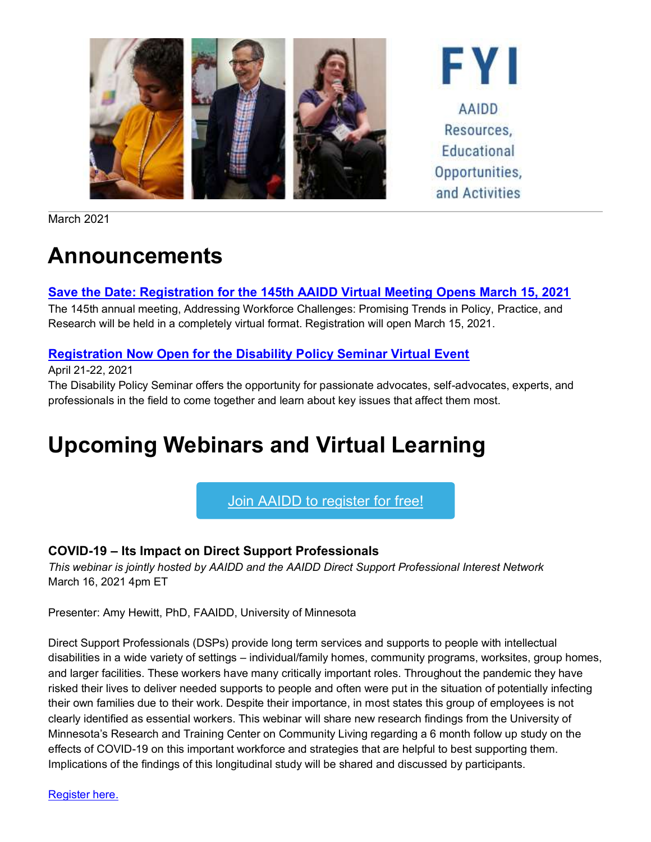

March 2021

## **Announcements**

#### **[Save the Date: Registration for the 145th AAIDD Virtual Meeting Opens March 15, 2021](http://mms.aaidd.org/ct.php?lid=98569865&mm=47930624213)**

The 145th annual meeting, Addressing Workforce Challenges: Promising Trends in Policy, Practice, and Research will be held in a completely virtual format. Registration will open March 15, 2021.

### **[Registration Now Open for the Disability Policy Seminar Virtual Event](http://mms.aaidd.org/ct.php?lid=98571087&mm=47930624213)**

April 21-22, 2021

The Disability Policy Seminar offers the opportunity for passionate advocates, self-advocates, experts, and professionals in the field to come together and learn about key issues that affect them most.

# **Upcoming Webinars and Virtual Learning**

### Join AAIDD to [register](https://www.aaidd.org/about-aaidd/membership-join/join) for free!

### **COVID-19 – Its Impact on Direct Support Professionals**

*This webinar is jointly hosted by AAIDD and the AAIDD Direct Support Professional Interest Network* March 16, 2021 4pm ET

Presenter: Amy Hewitt, PhD, FAAIDD, University of Minnesota

Direct Support Professionals (DSPs) provide long term services and supports to people with intellectual disabilities in a wide variety of settings – individual/family homes, community programs, worksites, group homes, and larger facilities. These workers have many critically important roles. Throughout the pandemic they have risked their lives to deliver needed supports to people and often were put in the situation of potentially infecting their own families due to their work. Despite their importance, in most states this group of employees is not clearly identified as essential workers. This webinar will share new research findings from the University of Minnesota's Research and Training Center on Community Living regarding a 6 month follow up study on the effects of COVID-19 on this important workforce and strategies that are helpful to best supporting them. Implications of the findings of this longitudinal study will be shared and discussed by participants.

[Register here.](http://mms.aaidd.org/ct.php?lid=98573531&mm=47930624213)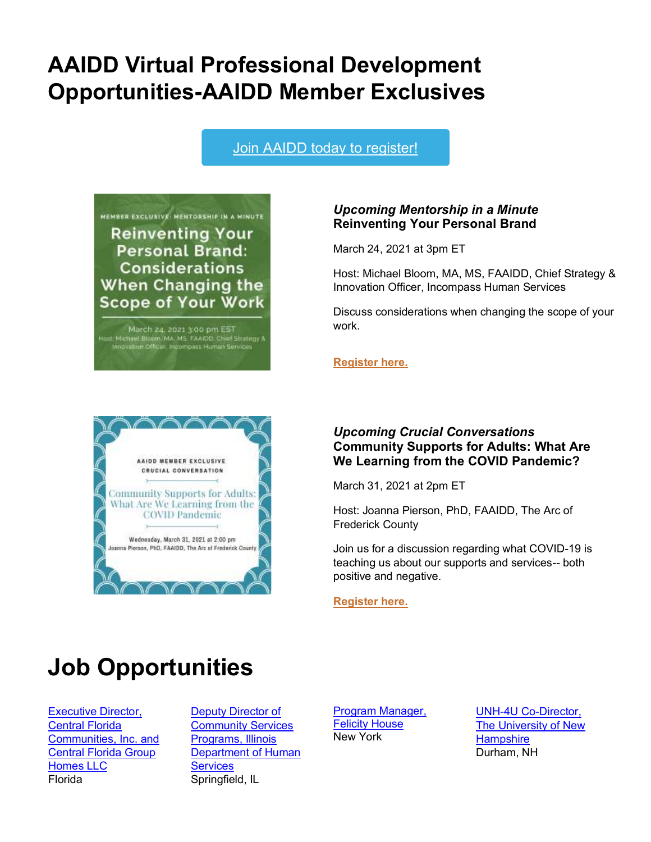## **AAIDD Virtual Professional Development Opportunities-AAIDD Member Exclusives**

Join AAIDD today to [register!](https://www.aaidd.org/about-aaidd/membership-join/join)





#### *Upcoming Mentorship in a Minute* **Reinventing Your Personal Brand**

March 24, 2021 at 3pm ET

Host: Michael Bloom, MA, MS, FAAIDD, Chief Strategy & Innovation Officer, Incompass Human Services

Discuss considerations when changing the scope of your work.

**[Register here.](http://mms.aaidd.org/ct.php?lid=98574753&mm=47930624213)**

#### *Upcoming Crucial Conversations* **Community Supports for Adults: What Are We Learning from the COVID Pandemic?**

March 31, 2021 at 2pm ET

Host: Joanna Pierson, PhD, FAAIDD, The Arc of Frederick County

Join us for a discussion regarding what COVID-19 is teaching us about our supports and services-- both positive and negative.

**[Register here.](http://mms.aaidd.org/ct.php?lid=98574753&mm=47930624213)**

## **Job Opportunities**

[Executive Director,](http://mms.aaidd.org/ct.php?lid=98575975&mm=47930624213)  [Central Florida](http://mms.aaidd.org/ct.php?lid=98575975&mm=47930624213)  [Communities, Inc. and](http://mms.aaidd.org/ct.php?lid=98575975&mm=47930624213)  [Central Florida Group](http://mms.aaidd.org/ct.php?lid=98575975&mm=47930624213)  [Homes LLC](http://mms.aaidd.org/ct.php?lid=98575975&mm=47930624213) Florida

[Deputy Director of](http://mms.aaidd.org/ct.php?lid=98577197&mm=47930624213)  [Community Services](http://mms.aaidd.org/ct.php?lid=98577197&mm=47930624213)  [Programs, Illinois](http://mms.aaidd.org/ct.php?lid=98577197&mm=47930624213)  [Department of Human](http://mms.aaidd.org/ct.php?lid=98577197&mm=47930624213)  **[Services](http://mms.aaidd.org/ct.php?lid=98577197&mm=47930624213)** Springfield, IL

[Program Manager,](http://mms.aaidd.org/ct.php?lid=98578419&mm=47930624213)  [Felicity House](http://mms.aaidd.org/ct.php?lid=98578419&mm=47930624213) New York

[UNH-4U Co-Director,](http://mms.aaidd.org/ct.php?lid=98579641&mm=47930624213)  [The University of New](http://mms.aaidd.org/ct.php?lid=98579641&mm=47930624213)  **[Hampshire](http://mms.aaidd.org/ct.php?lid=98579641&mm=47930624213)** Durham, NH